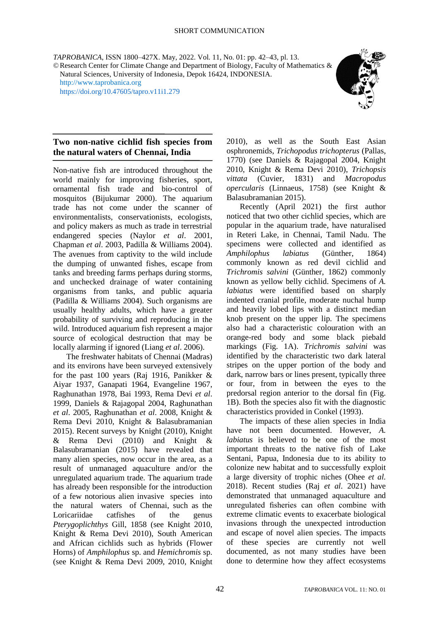*TAPROBANICA*, ISSN 1800–427X. May, 2022. Vol. 11, No. 01: pp. 42–43, pl. 13. ©Research Center for Climate Change and Department of Biology, Faculty of Mathematics & Natural Sciences, University of Indonesia, Depok 16424, INDONESIA. [http://www.taprobanica.org](http://www.taprobanica.org/)

<https://doi.org/10.47605/tapro.v11i1.279>



## **Two non-native cichlid fish species from the natural waters of Chennai, India**

Non-native fish are introduced throughout the world mainly for improving fisheries, sport, ornamental fish trade and bio-control of mosquitos (Bijukumar 2000). The aquarium trade has not come under the scanner of environmentalists, conservationists, ecologists, and policy makers as much as trade in terrestrial endangered species (Naylor *et al*. 2001, Chapman *et al*. 2003, Padilla & Williams 2004). The avenues from captivity to the wild include the dumping of unwanted fishes, escape from tanks and breeding farms perhaps during storms, and unchecked drainage of water containing organisms from tanks, and public aquaria (Padilla & Williams 2004). Such organisms are usually healthy adults, which have a greater probability of surviving and reproducing in the wild. Introduced aquarium fish represent a major source of ecological destruction that may be locally alarming if ignored (Liang *et al*. 2006).

The freshwater habitats of Chennai (Madras) and its environs have been surveyed extensively for the past 100 years (Raj 1916, Panikker & Aiyar 1937, Ganapati 1964, Evangeline 1967, Raghunathan 1978, Bai 1993, Rema Devi *et al*. 1999, Daniels & Rajagopal 2004, Raghunathan *et al*. 2005, Raghunathan *et al*. 2008, Knight & Rema Devi 2010, Knight & Balasubramanian 2015). Recent surveys by Knight (2010), Knight & Rema Devi (2010) and Knight & Balasubramanian (2015) have revealed that many alien species, now occur in the area, as a result of unmanaged aquaculture and/or the unregulated aquarium trade. The aquarium trade has already been responsible for the introduction of a few notorious alien invasive species into the natural waters of Chennai, such as the Loricariidae catfishes of the genus *Pterygoplichthys* Gill, 1858 (see Knight 2010, Knight & Rema Devi 2010), South American and African cichlids such as hybrids (Flower Horns) of *Amphilophus* sp. and *Hemichromis* sp. (see Knight & Rema Devi 2009, 2010, Knight 2010), as well as the South East Asian osphronemids, *Trichopodus trichopterus* (Pallas, 1770) (see Daniels & Rajagopal 2004, Knight 2010, Knight & Rema Devi 2010), *Trichopsis vittata* (Cuvier, 1831) and *Macropodus opercularis* (Linnaeus, 1758) (see Knight & Balasubramanian 2015).

Recently (April 2021) the first author noticed that two other cichlid species, which are popular in the aquarium trade, have naturalised in Reteri Lake, in Chennai, Tamil Nadu. The specimens were collected and identified as *Amphilophus labiatus* (Günther, 1864) commonly known as red devil cichlid and *Trichromis salvini* (Günther, 1862) commonly known as yellow belly cichlid. Specimens of *A. labiatus* were identified based on sharply indented cranial profile, moderate nuchal hump and heavily lobed lips with a distinct median knob present on the upper lip. The specimens also had a characteristic colouration with an orange-red body and some black piebald markings (Fig. 1A). *Trichromis salvini* was identified by the characteristic two dark lateral stripes on the upper portion of the body and dark, narrow bars or lines present, typically three or four, from in between the eyes to the predorsal region anterior to the dorsal fin (Fig. 1B). Both the species also fit with the diagnostic characteristics provided in Conkel (1993).

The impacts of these alien species in India have not been documented. However, *A. labiatus* is believed to be one of the most important threats to the native fish of Lake Sentani, Papua, Indonesia due to its ability to colonize new habitat and to successfully exploit a large diversity of trophic niches (Ohee *et al.* 2018). Recent studies (Raj *et al*. 2021) have demonstrated that unmanaged aquaculture and unregulated fisheries can often combine with extreme climatic events to exacerbate biological invasions through the unexpected introduction and escape of novel alien species. The impacts of these species are currently not well documented, as not many studies have been done to determine how they affect ecosystems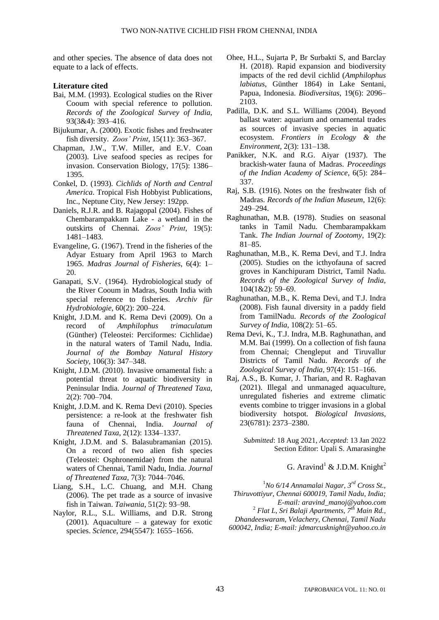and other species. The absence of data does not equate to a lack of effects.

## **Literature cited**

- Bai, M.M. (1993). Ecological studies on the River Cooum with special reference to pollution. *Records of the Zoological Survey of India*, 93(3&4): 393–416.
- Bijukumar, A. (2000). Exotic fishes and freshwater fish diversity. *Zoos' Print*, 15(11): 363–367.
- Chapman, J.W., T.W. Miller, and E.V. Coan (2003). Live seafood species as recipes for invasion. Conservation Biology, 17(5): 1386– 1395.
- Conkel, D. (1993). *Cichlids of North and Central America*. Tropical Fish Hobbyist Publications, Inc., Neptune City, New Jersey: 192pp.
- [Daniels, R.J.R. and](http://www.zoosprint.org/ZooPrintJournal/2004/May/1481-83.pdf) B. Rajagopal (2004). Fishes of Chembarampakkam Lake - a wetland in the outskirts of Chennai. *Zoos' Print*, 19(5): 1481–1483.
- Evangeline, G. (1967). Trend in the fisheries of the Adyar Estuary from April 1963 to March 1965. *Madras Journal of Fisheries*, 6(4): 1– 20.
- Ganapati, S.V. (1964). Hydrobiological study of the River Cooum in Madras, South India with special reference to fisheries. *Archiv für Hydrobiologie*, 60(2): 200–224.
- Knight, J.D.M. and K. Rema Devi (2009). On a record of *Amphilophus trimaculatum* (Günther) (Teleostei: Perciformes: Cichlidae) in the natural waters of Tamil Nadu, India. *Journal of the Bombay Natural History Society*, 106(3): 347–348.
- [Knight, J.D.M. \(2010\).](http://threatenedtaxa.org/ZooPrintJournal/2010/February/o217926ii10700-704.pdf) Invasive ornamental fish: a potential threat to aquatic biodiversity in Peninsular India. *Journal of Threatened Taxa*, 2(2): 700–704.
- Knight, J.D.M. and K. Rema Devi (2010). Species persistence: a re-look at the freshwater fish fauna of Chennai, India. *Journal of Threatened Taxa*, 2(12): 1334–1337.
- Knight, J.D.M. and S. Balasubramanian (2015). On a record of two alien fish species (Teleostei: Osphronemidae) from the natural waters of Chennai, Tamil Nadu, India. *Journal of Threatened Taxa*, 7(3): 7044–7046.
- Liang, S.H., L.C. Chuang, and M.H. Chang (2006). The pet trade as a source of invasive fish in Taiwan. *Taiwania*, 51(2): 93–98.
- Naylor, R.L., S.L. Williams, and D.R. Strong (2001). Aquaculture – a gateway for exotic species. *Science*, 294(5547): 1655–1656.
- Ohee, H.L., Sujarta P, Br Surbakti S, and Barclay H. (2018). Rapid expansion and biodiversity impacts of the red devil cichlid (*Amphilophus labiatus*, Günther 1864) in Lake Sentani, Papua, Indonesia. *Biodiversitas*, 19(6): 2096– 2103.
- Padilla, D.K. and S.L. Williams (2004). Beyond ballast water: aquarium and ornamental trades as sources of invasive species in aquatic ecosystem. *Frontiers in Ecology & the Environment*, 2(3): 131–138.
- Panikker, N.K. and R.G. Aiyar (1937). The brackish-water fauna of Madras. *Proceedings of the Indian Academy of Science*, 6(5): 284– 337.
- Raj, S.B. (1916). Notes on the freshwater fish of Madras. *Records of the Indian Museum*, 12(6): 249–294.
- Raghunathan, M.B. (1978). Studies on seasonal tanks in Tamil Nadu. Chembarampakkam Tank. *The Indian Journal of Zootomy*, 19(2): 81–85.
- Raghunathan, M.B., K. Rema Devi, and T.J. Indra (2005). Studies on the icthyofauna of sacred groves in Kanchipuram District, Tamil Nadu. *Records of the Zoological Survey of India*, 104(1&2): 59–69.
- Raghunathan, M.B., K. Rema Devi, and T.J. Indra (2008). Fish faunal diversity in a paddy field from TamilNadu. *Records of the Zoological Survey of India*, 108(2): 51–65.
- Rema Devi, K., T.J. Indra, M.B. Raghunathan, and M.M. Bai (1999). On a collection of fish fauna from Chennai; Chengleput and Tiruvallur Districts of Tamil Nadu. *Records of the Zoological Survey of India*, 97(4): 151–166.
- Raj, A.S., B. Kumar, J. Tharian, and R. Raghavan (2021). Illegal and unmanaged aquaculture, unregulated fisheries and extreme climatic events combine to trigger invasions in a global biodiversity hotspot. *Biological Invasions*, 23(6781): 2373–2380.

*Submitted*: 18 Aug 2021, *Accepted*: 13 Jan 2022 Section Editor: Upali S. Amarasinghe

## G. Aravind<sup>1</sup> & J.D.M. Knight<sup>2</sup>

<sup>1</sup>*No 6/14 Annamalai Nagar, 3rd Cross St., Thiruvottiyur, Chennai 600019, Tamil Nadu, India; E-mail: aravind\_manoj@yahoo.com* <sup>2</sup> *Flat L, Sri Balaji Apartments, 7th Main Rd., Dhandeeswaram, Velachery, Chennai, Tamil Nadu 600042, India; E-mail: jdmarcusknight@yahoo.co.in*